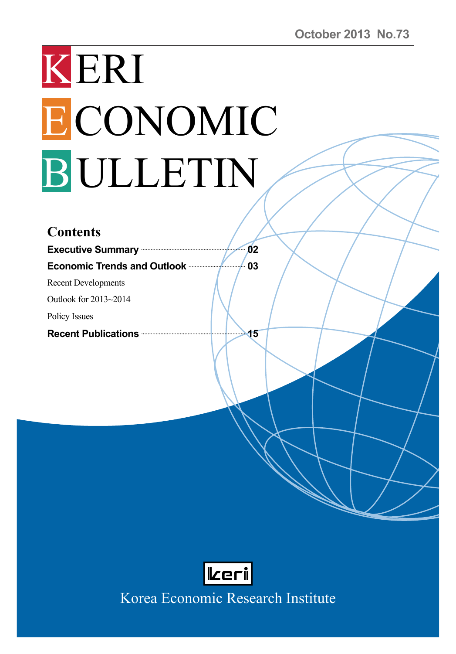# KERI ECONOMIC BULLETIN

| <b>Contents</b>                                         |    |
|---------------------------------------------------------|----|
| Executive Summary <b>Constant Contract Construction</b> | 02 |
| <b>Economic Trends and Outlook manufacturers</b>        | 03 |
| <b>Recent Developments</b>                              |    |
| Outlook for 2013~2014                                   |    |
| Policy Issues                                           |    |
|                                                         | 15 |
|                                                         |    |



Korea Economic Research Institute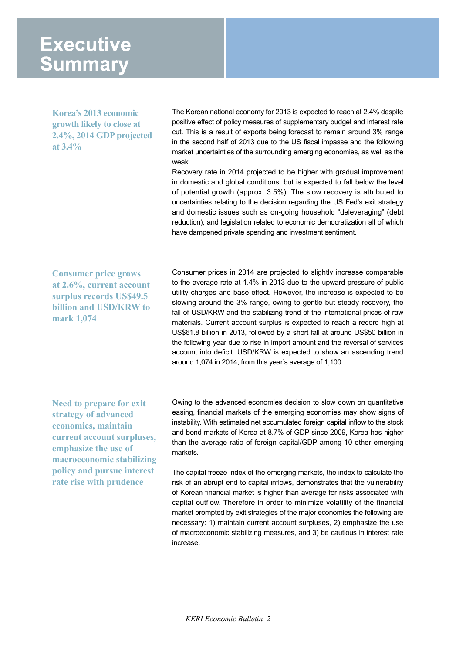# **Executive Summary**

**Korea's 2013 economic growth likely to close at 2.4%, 2014 GDP projected at 3.4%**

The Korean national economy for 2013 is expected to reach at 2.4% despite positive effect of policy measures of supplementary budget and interest rate cut. This is a result of exports being forecast to remain around 3% range in the second half of 2013 due to the US fiscal impasse and the following market uncertainties of the surrounding emerging economies, as well as the weak.

Recovery rate in 2014 projected to be higher with gradual improvement in domestic and global conditions, but is expected to fall below the level of potential growth (approx. 3.5%). The slow recovery is attributed to uncertainties relating to the decision regarding the US Fed's exit strategy and domestic issues such as on-going household "deleveraging" (debt reduction), and legislation related to economic democratization all of which have dampened private spending and investment sentiment.

**Consumer price grows at 2.6%, current account surplus records US\$49.5 billion and USD/KRW to mark 1,074**

Consumer prices in 2014 are projected to slightly increase comparable to the average rate at 1.4% in 2013 due to the upward pressure of public utility charges and base effect. However, the increase is expected to be slowing around the 3% range, owing to gentle but steady recovery, the fall of USD/KRW and the stabilizing trend of the international prices of raw materials. Current account surplus is expected to reach a record high at US\$61.8 billion in 2013, followed by a short fall at around US\$50 billion in the following year due to rise in import amount and the reversal of services account into deficit. USD/KRW is expected to show an ascending trend around 1,074 in 2014, from this year's average of 1,100.

**Need to prepare for exit strategy of advanced economies, maintain current account surpluses, emphasize the use of macroeconomic stabilizing policy and pursue interest rate rise with prudence**

Owing to the advanced economies decision to slow down on quantitative easing, financial markets of the emerging economies may show signs of instability. With estimated net accumulated foreign capital inflow to the stock and bond markets of Korea at 8.7% of GDP since 2009, Korea has higher than the average ratio of foreign capital/GDP among 10 other emerging markets.

The capital freeze index of the emerging markets, the index to calculate the risk of an abrupt end to capital inflows, demonstrates that the vulnerability of Korean financial market is higher than average for risks associated with capital outflow. Therefore in order to minimize volatility of the financial market prompted by exit strategies of the major economies the following are necessary: 1) maintain current account surpluses, 2) emphasize the use of macroeconomic stabilizing measures, and 3) be cautious in interest rate increase.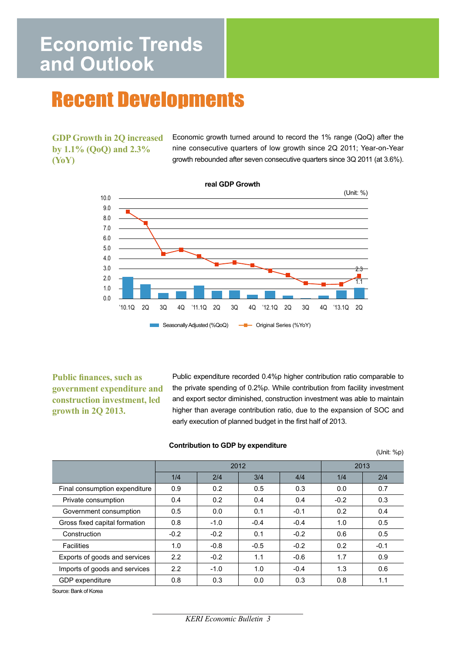# **Economic Trends** and Outlook

# **Recent Developments**

**GDP Growth in 2Q increased by 1.1% (QoQ) and 2.3% (YoY)**

Economic growth turned around to record the 1% range (QoQ) after the nine consecutive quarters of low growth since 2Q 2011; Year-on-Year growth rebounded after seven consecutive quarters since 3Q 2011 (at 3.6%).



#### **real GDP Growth**

**Public finances, such as government expenditure and construction investment, led growth in 2Q 2013.** 

Public expenditure recorded 0.4%p higher contribution ratio comparable to the private spending of 0.2%p. While contribution from facility investment and export sector diminished, construction investment was able to maintain higher than average contribution ratio, due to the expansion of SOC and early execution of planned budget in the first half of 2013.

## **Contribution to GDP by expenditure**<br>(Unit: %p)

|                               | 2012   |        |        | 2013   |        |        |
|-------------------------------|--------|--------|--------|--------|--------|--------|
|                               | 1/4    | 2/4    | 3/4    | 4/4    | 1/4    | 2/4    |
| Final consumption expenditure | 0.9    | 0.2    | 0.5    | 0.3    | 0.0    | 0.7    |
| Private consumption           | 0.4    | 0.2    | 0.4    | 0.4    | $-0.2$ | 0.3    |
| Government consumption        | 0.5    | 0.0    | 0.1    | $-0.1$ | 0.2    | 0.4    |
| Gross fixed capital formation | 0.8    | $-1.0$ | $-0.4$ | $-0.4$ | 1.0    | 0.5    |
| Construction                  | $-0.2$ | $-0.2$ | 0.1    | $-0.2$ | 0.6    | 0.5    |
| <b>Facilities</b>             | 1.0    | $-0.8$ | $-0.5$ | $-0.2$ | 0.2    | $-0.1$ |
| Exports of goods and services | 2.2    | $-0.2$ | 1.1    | $-0.6$ | 1.7    | 0.9    |
| Imports of goods and services | 2.2    | $-1.0$ | 1.0    | $-0.4$ | 1.3    | 0.6    |
| GDP expenditure               | 0.8    | 0.3    | 0.0    | 0.3    | 0.8    | 1.1    |

Source: Bank of Korea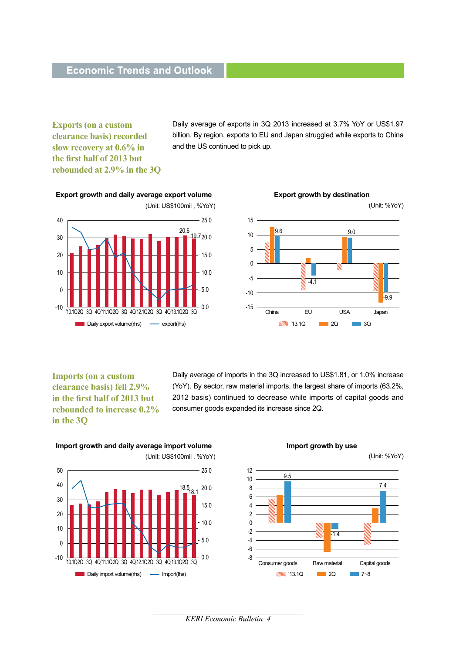**Exports (on a custom clearance basis) recorded slow recovery at 0.6% in the first half of 2013 but rebounded at 2.9% in the 3Q**

Daily average of exports in 3Q 2013 increased at 3.7% YoY or US\$1.97 billion. By region, exports to EU and Japan struggled while exports to China and the US continued to pick up.



#### **Export growth and daily average export volume**



**Imports (on a custom clearance basis) fell 2.9% in the first half of 2013 but rebounded to increase 0.2% in the 3Q**

Daily average of imports in the 3Q increased to US\$1.81, or 1.0% increase (YoY). By sector, raw material imports, the largest share of imports (63.2%, 2012 basis) continued to decrease while imports of capital goods and consumer goods expanded its increase since 2Q.

#### **Import growth and daily average import volume**





(Unit: %YoY)



*KERI Economic Bulletin 4*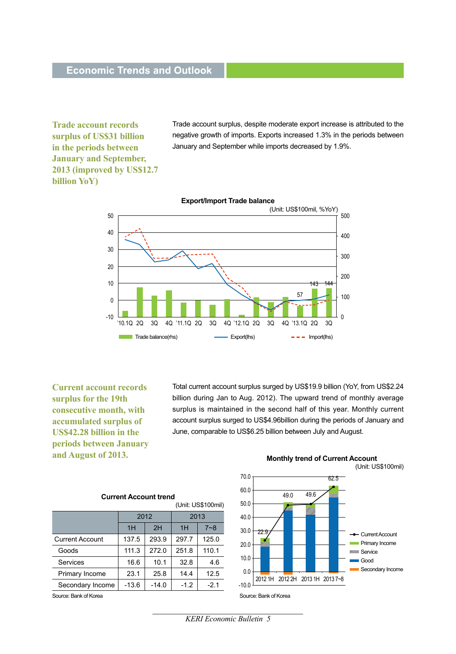**Trade account records surplus of US\$31 billion in the periods between January and September, 2013 (improved by US\$12.7 billion YoY)**

Trade account surplus, despite moderate export increase is attributed to the negative growth of imports. Exports increased 1.3% in the periods between January and September while imports decreased by 1.9%.



**Current account records surplus for the 19th consecutive month, with accumulated surplus of US\$42.28 billion in the periods between January and August of 2013.**

Total current account surplus surged by US\$19.9 billion (YoY, from US\$2.24 billion during Jan to Aug. 2012). The upward trend of monthly average surplus is maintained in the second half of this year. Monthly current account surplus surged to US\$4.96billion during the periods of January and June, comparable to US\$6.25 billion between July and August.

| <b>Current Account trend</b> |         |         |        |         |  |  |
|------------------------------|---------|---------|--------|---------|--|--|
| (Unit: US\$100mil)           |         |         |        |         |  |  |
|                              | 2012    |         | 2013   |         |  |  |
|                              | 1H      | 2H      | 1H     | $7 - 8$ |  |  |
| <b>Current Account</b>       | 137.5   | 293.9   | 297.7  | 125.0   |  |  |
| Goods                        | 111.3   | 272.0   | 251.8  | 110.1   |  |  |
| Services                     | 16.6    | 10.1    | 32.8   | 4.6     |  |  |
| Primary Income               | 23.1    | 25.8    | 14.4   | 12.5    |  |  |
| Secondary Income             | $-13.6$ | $-14.0$ | $-1.2$ | $-2.1$  |  |  |
|                              |         |         |        |         |  |  |

Source: Bank of Korea



*KERI Economic Bulletin 5*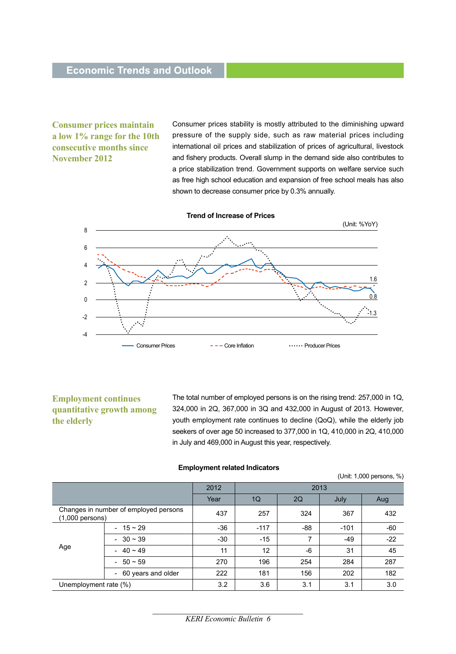**Consumer prices maintain a low 1% range for the 10th consecutive months since November 2012**

Consumer prices stability is mostly attributed to the diminishing upward pressure of the supply side, such as raw material prices including international oil prices and stabilization of prices of agricultural, livestock and fishery products. Overall slump in the demand side also contributes to a price stabilization trend. Government supports on welfare service such as free high school education and expansion of free school meals has also shown to decrease consumer price by 0.3% annually.





#### **Employment continues quantitative growth among the elderly**

The total number of employed persons is on the rising trend: 257,000 in 1Q, 324,000 in 2Q, 367,000 in 3Q and 432,000 in August of 2013. However, youth employment rate continues to decline (QoQ), while the elderly job seekers of over age 50 increased to 377,000 in 1Q, 410,000 in 2Q, 410,000 in July and 469,000 in August this year, respectively.

| <b>Employment related Indicators</b> |  |
|--------------------------------------|--|
|--------------------------------------|--|

(Unit: 1,000 persons, %)

|                                                                               |                                                | 2012   | 2013  |        |       |       |
|-------------------------------------------------------------------------------|------------------------------------------------|--------|-------|--------|-------|-------|
|                                                                               |                                                | Year   | 1Q    | 2Q     | July  | Aug   |
| $(1,000$ persons)                                                             | Changes in number of employed persons          | 437    | 257   | 324    | 367   | 432   |
| $-15 \sim 29$<br>$-30 \sim 39$<br>Age<br>$40 - 49$<br>$\sim$<br>$-50 \sim 59$ | $-36$                                          | $-117$ | -88   | $-101$ | $-60$ |       |
|                                                                               |                                                | $-30$  | $-15$ | 7      | $-49$ | $-22$ |
|                                                                               |                                                | 11     | 12    | $-6$   | 31    | 45    |
|                                                                               |                                                | 270    | 196   | 254    | 284   | 287   |
|                                                                               | 60 years and older<br>$\overline{\phantom{a}}$ | 222    | 181   | 156    | 202   | 182   |
| Unemployment rate (%)                                                         |                                                | 3.2    | 3.6   | 3.1    | 3.1   | 3.0   |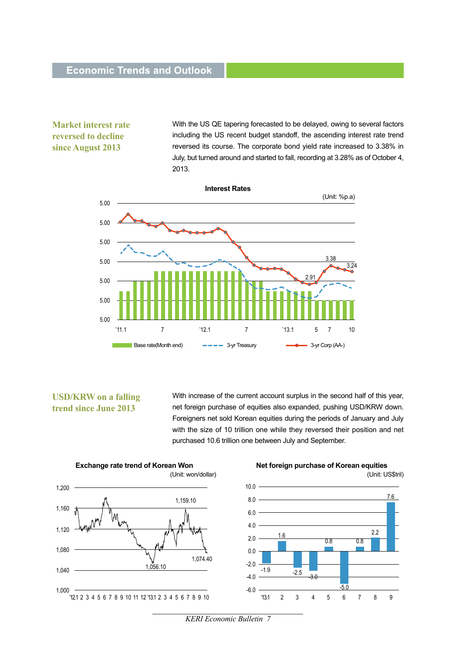### **Economic Trends and Outlook**

**Market interest rate reversed to decline since August 2013**

With the US QE tapering forecasted to be delayed, owing to several factors including the US recent budget standoff, the ascending interest rate trend reversed its course. The corporate bond yield rate increased to 3.38% in July, but turned around and started to fall, recording at 3.28% as of October 4, 2013.



#### **USD/KRW on a falling trend since June 2013**

With increase of the current account surplus in the second half of this year, net foreign purchase of equities also expanded, pushing USD/KRW down. Foreigners net sold Korean equities during the periods of January and July with the size of 10 trillion one while they reversed their position and net purchased 10.6 trillion one between July and September.



*KERI Economic Bulletin 7*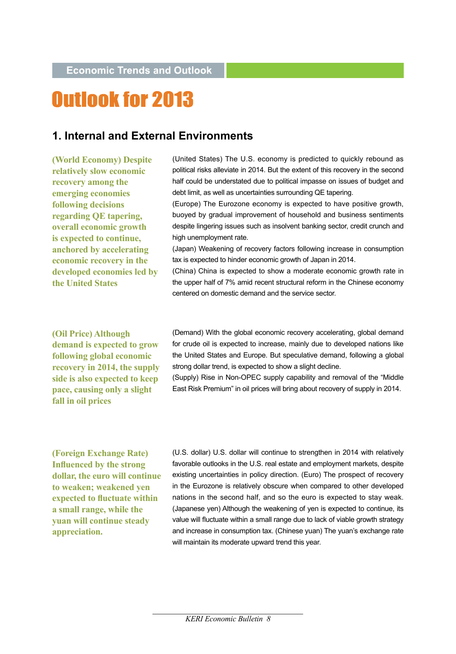# **Outlook for 2013**

## **1. Internal and External Environments**

**(World Economy) Despite relatively slow economic recovery among the emerging economies following decisions regarding QE tapering, overall economic growth is expected to continue, anchored by accelerating economic recovery in the developed economies led by the United States**

(United States) The U.S. economy is predicted to quickly rebound as political risks alleviate in 2014. But the extent of this recovery in the second half could be understated due to political impasse on issues of budget and debt limit, as well as uncertainties surrounding QE tapering.

(Europe) The Eurozone economy is expected to have positive growth, buoyed by gradual improvement of household and business sentiments despite lingering issues such as insolvent banking sector, credit crunch and high unemployment rate.

(Japan) Weakening of recovery factors following increase in consumption tax is expected to hinder economic growth of Japan in 2014.

(China) China is expected to show a moderate economic growth rate in the upper half of 7% amid recent structural reform in the Chinese economy centered on domestic demand and the service sector.

**(Oil Price) Although demand is expected to grow following global economic recovery in 2014, the supply side is also expected to keep pace, causing only a slight fall in oil prices**

(Demand) With the global economic recovery accelerating, global demand for crude oil is expected to increase, mainly due to developed nations like the United States and Europe. But speculative demand, following a global strong dollar trend, is expected to show a slight decline.

(Supply) Rise in Non-OPEC supply capability and removal of the "Middle East Risk Premium" in oil prices will bring about recovery of supply in 2014.

**(Foreign Exchange Rate) Influenced by the strong dollar, the euro will continue to weaken; weakened yen expected to fluctuate within a small range, while the yuan will continue steady appreciation.**

(U.S. dollar) U.S. dollar will continue to strengthen in 2014 with relatively favorable outlooks in the U.S. real estate and employment markets, despite existing uncertainties in policy direction. (Euro) The prospect of recovery in the Eurozone is relatively obscure when compared to other developed nations in the second half, and so the euro is expected to stay weak. (Japanese yen) Although the weakening of yen is expected to continue, its value will fluctuate within a small range due to lack of viable growth strategy and increase in consumption tax. (Chinese yuan) The yuan's exchange rate will maintain its moderate upward trend this year.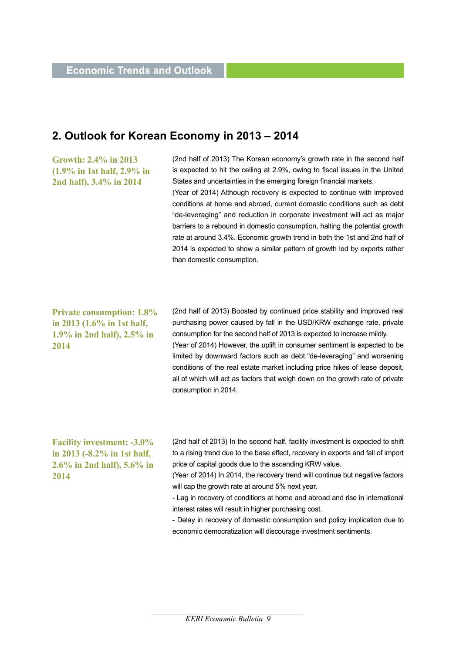## **2. Outlook for Korean Economy in 2013 – 2014**

**Growth: 2.4% in 2013 (1.9% in 1st half, 2.9% in 2nd half), 3.4% in 2014**

(2nd half of 2013) The Korean economy's growth rate in the second half is expected to hit the ceiling at 2.9%, owing to fiscal issues in the United States and uncertainties in the emerging foreign financial markets. (Year of 2014) Although recovery is expected to continue with improved conditions at home and abroad, current domestic conditions such as debt "de-leveraging" and reduction in corporate investment will act as major barriers to a rebound in domestic consumption, halting the potential growth rate at around 3.4%. Economic growth trend in both the 1st and 2nd half of 2014 is expected to show a similar pattern of growth led by exports rather than domestic consumption.

**Private consumption: 1.8% in 2013 (1.6% in 1st half, 1.9% in 2nd half), 2.5% in 2014**

(2nd half of 2013) Boosted by continued price stability and improved real purchasing power caused by fall in the USD/KRW exchange rate, private consumption for the second half of 2013 is expected to increase mildly. (Year of 2014) However, the uplift in consumer sentiment is expected to be limited by downward factors such as debt "de-leveraging" and worsening conditions of the real estate market including price hikes of lease deposit, all of which will act as factors that weigh down on the growth rate of private consumption in 2014.

**Facility investment: -3.0% in 2013 (-8.2% in 1st half, 2.6% in 2nd half), 5.6% in 2014**

(2nd half of 2013) In the second half, facility investment is expected to shift to a rising trend due to the base effect, recovery in exports and fall of import price of capital goods due to the ascending KRW value.

(Year of 2014) In 2014, the recovery trend will continue but negative factors will cap the growth rate at around 5% next year.

- Lag in recovery of conditions at home and abroad and rise in international interest rates will result in higher purchasing cost.

- Delay in recovery of domestic consumption and policy implication due to economic democratization will discourage investment sentiments.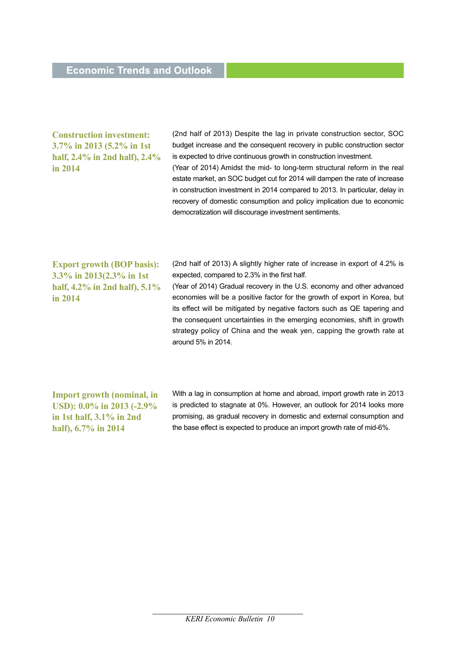#### **Construction investment: 3.7% in 2013 (5.2% in 1st half, 2.4% in 2nd half), 2.4% in 2014**

(2nd half of 2013) Despite the lag in private construction sector, SOC budget increase and the consequent recovery in public construction sector is expected to drive continuous growth in construction investment. (Year of 2014) Amidst the mid- to long-term structural reform in the real estate market, an SOC budget cut for 2014 will dampen the rate of increase in construction investment in 2014 compared to 2013. In particular, delay in recovery of domestic consumption and policy implication due to economic democratization will discourage investment sentiments.

**Export growth (BOP basis): 3.3% in 2013(2.3% in 1st half, 4.2% in 2nd half), 5.1% in 2014**

(2nd half of 2013) A slightly higher rate of increase in export of 4.2% is expected, compared to 2.3% in the first half.

(Year of 2014) Gradual recovery in the U.S. economy and other advanced economies will be a positive factor for the growth of export in Korea, but its effect will be mitigated by negative factors such as QE tapering and the consequent uncertainties in the emerging economies, shift in growth strategy policy of China and the weak yen, capping the growth rate at around 5% in 2014.

**Import growth (nominal, in USD): 0.0% in 2013 (-2.9% in 1st half, 3.1% in 2nd half), 6.7% in 2014**

With a lag in consumption at home and abroad, import growth rate in 2013 is predicted to stagnate at 0%. However, an outlook for 2014 looks more promising, as gradual recovery in domestic and external consumption and the base effect is expected to produce an import growth rate of mid-6%.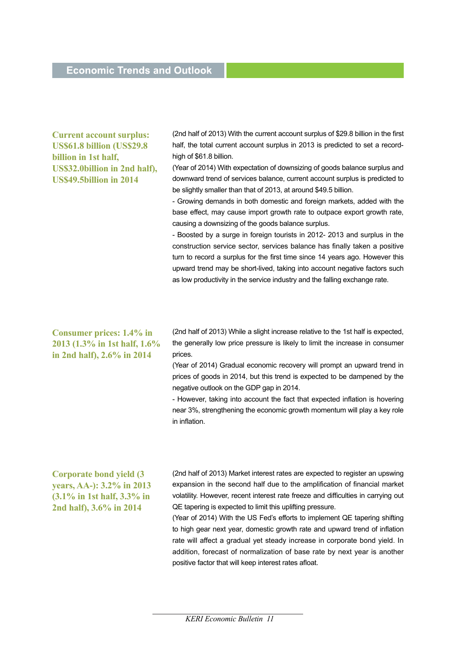**Current account surplus: US\$61.8 billion (US\$29.8 billion in 1st half, US\$32.0billion in 2nd half), US\$49.5billion in 2014**

(2nd half of 2013) With the current account surplus of \$29.8 billion in the first half, the total current account surplus in 2013 is predicted to set a recordhigh of \$61.8 billion.

(Year of 2014) With expectation of downsizing of goods balance surplus and downward trend of services balance, current account surplus is predicted to be slightly smaller than that of 2013, at around \$49.5 billion.

- Growing demands in both domestic and foreign markets, added with the base effect, may cause import growth rate to outpace export growth rate, causing a downsizing of the goods balance surplus.

- Boosted by a surge in foreign tourists in 2012- 2013 and surplus in the construction service sector, services balance has finally taken a positive turn to record a surplus for the first time since 14 years ago. However this upward trend may be short-lived, taking into account negative factors such as low productivity in the service industry and the falling exchange rate.

#### **Consumer prices: 1.4% in 2013 (1.3% in 1st half, 1.6% in 2nd half), 2.6% in 2014**

(2nd half of 2013) While a slight increase relative to the 1st half is expected, the generally low price pressure is likely to limit the increase in consumer prices.

(Year of 2014) Gradual economic recovery will prompt an upward trend in prices of goods in 2014, but this trend is expected to be dampened by the negative outlook on the GDP gap in 2014.

- However, taking into account the fact that expected inflation is hovering near 3%, strengthening the economic growth momentum will play a key role in inflation.

**Corporate bond yield (3 years, AA-): 3.2% in 2013 (3.1% in 1st half, 3.3% in 2nd half), 3.6% in 2014**

(2nd half of 2013) Market interest rates are expected to register an upswing expansion in the second half due to the amplification of financial market volatility. However, recent interest rate freeze and difficulties in carrying out QE tapering is expected to limit this uplifting pressure.

(Year of 2014) With the US Fed's efforts to implement QE tapering shifting to high gear next year, domestic growth rate and upward trend of inflation rate will affect a gradual yet steady increase in corporate bond yield. In addition, forecast of normalization of base rate by next year is another positive factor that will keep interest rates afloat.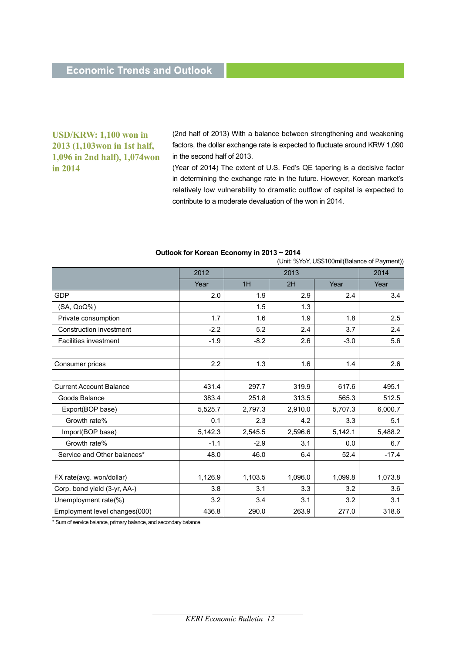#### **USD/KRW: 1,100 won in 2013 (1,103won in 1st half, 1,096 in 2nd half), 1,074won in 2014**

(2nd half of 2013) With a balance between strengthening and weakening factors, the dollar exchange rate is expected to fluctuate around KRW 1,090 in the second half of 2013.

(Year of 2014) The extent of U.S. Fed's QE tapering is a decisive factor in determining the exchange rate in the future. However, Korean market's relatively low vulnerability to dramatic outflow of capital is expected to contribute to a moderate devaluation of the won in 2014.

|                                | (UTIIL %101, US\$10011III(Balafice of Favillent)) |         |         |         |         |  |  |
|--------------------------------|---------------------------------------------------|---------|---------|---------|---------|--|--|
|                                | 2012                                              | 2013    |         |         | 2014    |  |  |
|                                | Year                                              | 1H      | 2H      | Year    | Year    |  |  |
| <b>GDP</b>                     | 2.0                                               | 1.9     | 2.9     | 2.4     | 3.4     |  |  |
| (SA, QoQ%)                     |                                                   | 1.5     | 1.3     |         |         |  |  |
| Private consumption            | 1.7                                               | 1.6     | 1.9     | 1.8     | 2.5     |  |  |
| Construction investment        | $-2.2$                                            | 5.2     | 2.4     | 3.7     | 2.4     |  |  |
| Facilities investment          | $-1.9$                                            | $-8.2$  | 2.6     | $-3.0$  | 5.6     |  |  |
|                                |                                                   |         |         |         |         |  |  |
| Consumer prices                | 2.2                                               | 1.3     | 1.6     | 1.4     | 2.6     |  |  |
|                                |                                                   |         |         |         |         |  |  |
| <b>Current Account Balance</b> | 431.4                                             | 297.7   | 319.9   | 617.6   | 495.1   |  |  |
| Goods Balance                  | 383.4                                             | 251.8   | 313.5   | 565.3   | 512.5   |  |  |
| Export(BOP base)               | 5,525.7                                           | 2,797.3 | 2,910.0 | 5,707.3 | 6,000.7 |  |  |
| Growth rate%                   | 0.1                                               | 2.3     | 4.2     | 3.3     | 5.1     |  |  |
| Import(BOP base)               | 5,142.3                                           | 2,545.5 | 2,596.6 | 5,142.1 | 5,488.2 |  |  |
| Growth rate%                   | $-1.1$                                            | $-2.9$  | 3.1     | 0.0     | 6.7     |  |  |
| Service and Other balances*    | 48.0                                              | 46.0    | 6.4     | 52.4    | $-17.4$ |  |  |
|                                |                                                   |         |         |         |         |  |  |
| FX rate(avg. won/dollar)       | 1,126.9                                           | 1,103.5 | 1,096.0 | 1,099.8 | 1,073.8 |  |  |
| Corp. bond yield (3-yr, AA-)   | 3.8                                               | 3.1     | 3.3     | 3.2     | 3.6     |  |  |
| Unemployment rate(%)           | 3.2                                               | 3.4     | 3.1     | 3.2     | 3.1     |  |  |
| Employment level changes(000)  | 436.8                                             | 290.0   | 263.9   | 277.0   | 318.6   |  |  |

#### **Outlook for Korean Economy in 2013 ~ 2014**

Init: %YoY, US\$100mil(Balance of Payment))

\* Sum of service balance, primary balance, and secondary balance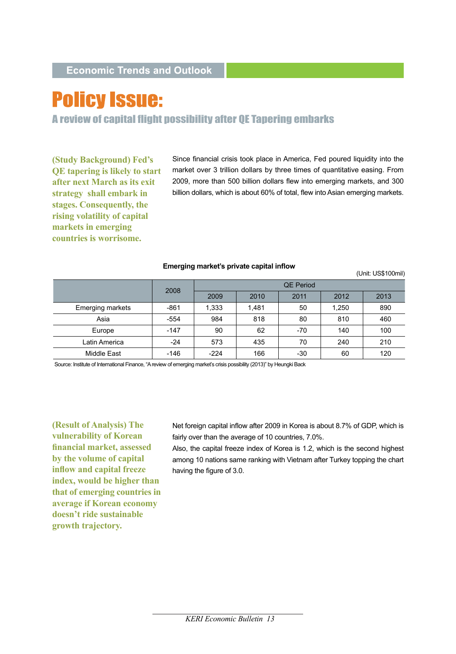# **Policy Issue:**

A review of capital flight possibility after QE Tapering embarks

**(Study Background) Fed's QE tapering is likely to start after next March as its exit strategy shall embark in stages. Consequently, the rising volatility of capital markets in emerging countries is worrisome.** 

Since financial crisis took place in America, Fed poured liquidity into the market over 3 trillion dollars by three times of quantitative easing. From 2009, more than 500 billion dollars flew into emerging markets, and 300 billion dollars, which is about 60% of total, flew into Asian emerging markets.

|                         | 2008   | <b>QE Period</b> |       |      |       |      |  |
|-------------------------|--------|------------------|-------|------|-------|------|--|
|                         |        | 2009             | 2010  | 2011 | 2012  | 2013 |  |
| <b>Emerging markets</b> | $-861$ | 1,333            | 1,481 | 50   | 1,250 | 890  |  |
| Asia                    | $-554$ | 984              | 818   | 80   | 810   | 460  |  |
| Europe                  | $-147$ | 90               | 62    | -70  | 140   | 100  |  |
| Latin America           | $-24$  | 573              | 435   | 70   | 240   | 210  |  |
| Middle East             | $-146$ | $-224$           | 166   | -30  | 60    | 120  |  |
|                         |        |                  |       |      |       |      |  |

#### **Emerging market's private capital inflow**

(Unit: US\$100mil)

Source: Institute of International Finance, "A review of emerging market's crisis possibility (2013)" by Heungki Back

**(Result of Analysis) The vulnerability of Korean financial market, assessed by the volume of capital inflow and capital freeze index, would be higher than that of emerging countries in average if Korean economy doesn't ride sustainable growth trajectory.** 

Net foreign capital inflow after 2009 in Korea is about 8.7% of GDP, which is fairly over than the average of 10 countries, 7.0%.

Also, the capital freeze index of Korea is 1.2, which is the second highest among 10 nations same ranking with Vietnam after Turkey topping the chart having the figure of 3.0.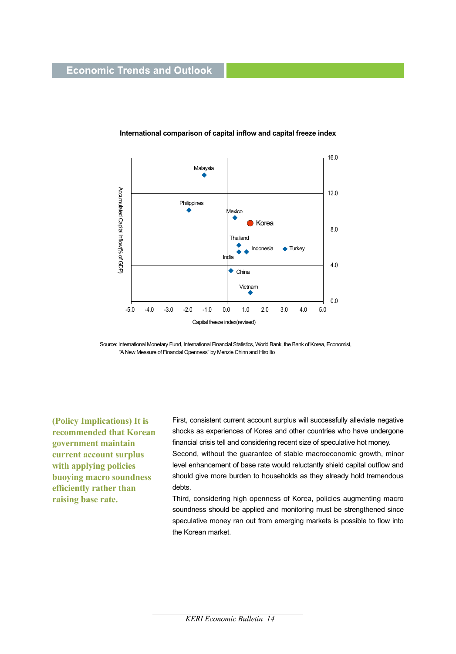### **Economic Trends and Outlook**



#### **International comparison of capital inflow and capital freeze index**

Source: International Monetary Fund, International Financial Statistics, World Bank, the Bank of Korea, Economist, "A New Measure of Financial Openness" by Menzie Chinn and Hiro Ito

**(Policy Implications) It is recommended that Korean government maintain current account surplus with applying policies buoying macro soundness efficiently rather than raising base rate.** 

First, consistent current account surplus will successfully alleviate negative shocks as experiences of Korea and other countries who have undergone financial crisis tell and considering recent size of speculative hot money.

Second, without the guarantee of stable macroeconomic growth, minor level enhancement of base rate would reluctantly shield capital outflow and should give more burden to households as they already hold tremendous debts.

Third, considering high openness of Korea, policies augmenting macro soundness should be applied and monitoring must be strengthened since speculative money ran out from emerging markets is possible to flow into the Korean market.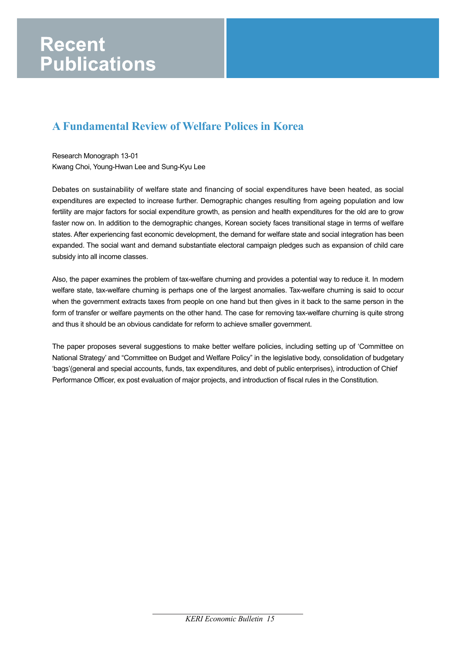## **A Fundamental Review of Welfare Polices in Korea**

Research Monograph 13-01 Kwang Choi, Young-Hwan Lee and Sung-Kyu Lee

Debates on sustainability of welfare state and financing of social expenditures have been heated, as social expenditures are expected to increase further. Demographic changes resulting from ageing population and low fertility are major factors for social expenditure growth, as pension and health expenditures for the old are to grow faster now on. In addition to the demographic changes, Korean society faces transitional stage in terms of welfare states. After experiencing fast economic development, the demand for welfare state and social integration has been expanded. The social want and demand substantiate electoral campaign pledges such as expansion of child care subsidy into all income classes.

Also, the paper examines the problem of tax-welfare churning and provides a potential way to reduce it. In modern welfare state, tax-welfare churning is perhaps one of the largest anomalies. Tax-welfare churning is said to occur when the government extracts taxes from people on one hand but then gives in it back to the same person in the form of transfer or welfare payments on the other hand. The case for removing tax-welfare churning is quite strong and thus it should be an obvious candidate for reform to achieve smaller government.

The paper proposes several suggestions to make better welfare policies, including setting up of 'Committee on National Strategy' and "Committee on Budget and Welfare Policy" in the legislative body, consolidation of budgetary 'bags'(general and special accounts, funds, tax expenditures, and debt of public enterprises), introduction of Chief Performance Officer, ex post evaluation of major projects, and introduction of fiscal rules in the Constitution.